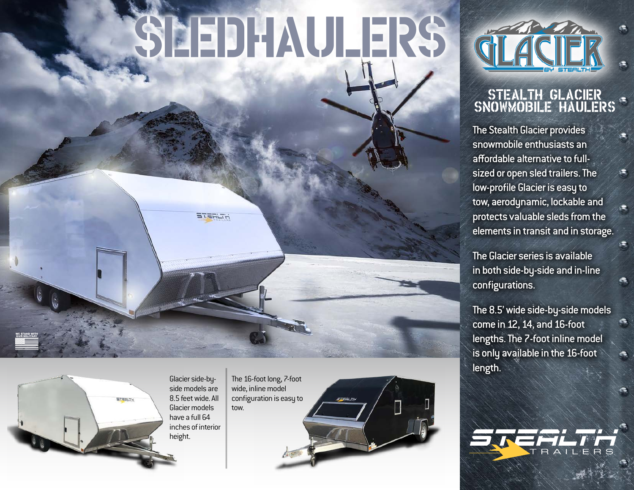# SLEDHAULERS



## Stealth Glacier Snowmobile Haulers

The Stealth Glacier provides snowmobile enthusiasts an affordable alternative to fullsized or open sled trailers. The low-profile Glacier is easy to tow, aerodynamic, lockable and protects valuable sleds from the elements in transit and in storage.

The Glacier series is available in both side-by-side and in-line configurations.

The 8.5' wide side-by-side models come in 12, 14, and 16-foot lengths. The 7-foot inline model is only available in the 16-foot length.

e



Glacier side-byside models are 8.5 feet wide. All Glacier models have a full 64 inches of interior height.

**STERLTH** 

The 16-foot long, 7-foot wide, inline model configuration is easy to tow.